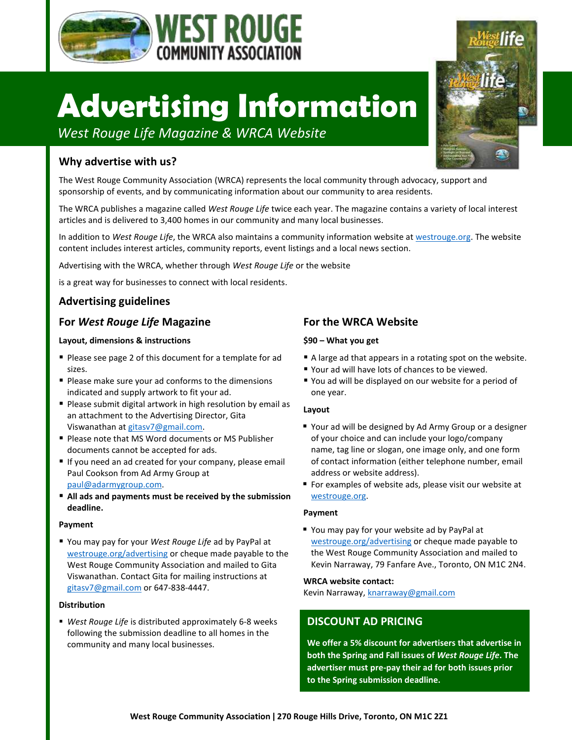

# **Advertising Information**

*West Rouge Life Magazine & WRCA Website*

# **Why advertise with us?**

The West Rouge Community Association (WRCA) represents the local community through advocacy, support and sponsorship of events, and by communicating information about our community to area residents.

The WRCA publishes a magazine called *West Rouge Life* twice each year. The magazine contains a variety of local interest articles and is delivered to 3,400 homes in our community and many local businesses.

In addition to *West Rouge Life*, the WRCA also maintains a community information website at [westrouge.org.](http://www.westrouge.org/) The website content includes interest articles, community reports, event listings and a local news section.

Advertising with the WRCA, whether through *West Rouge Life* or the website

is a great way for businesses to connect with local residents.

## **Advertising guidelines**

## **For** *West Rouge Life* **Magazine**

## **Layout, dimensions & instructions**

- Please see page 2 of this document for a template for ad sizes.
- Please make sure your ad conforms to the dimensions indicated and supply artwork to fit your ad.
- **Please submit digital artwork in high resolution by email as** an attachment to the Advertising Director, Gita Viswanathan at [gitasv7@gmail.com.](mailto:gitasv7@gmail.com)
- **Please note that MS Word documents or MS Publisher** documents cannot be accepted for ads.
- If you need an ad created for your company, please email Paul Cookson from Ad Army Group at [paul@adarmygroup.com.](mailto:paul@adarmygroup.com)
- **All ads and payments must be received by the submission deadline.**

## **Payment**

 You may pay for your *West Rouge Life* ad by PayPal at [westrouge.org/advertising](http://www.westrouge.org/advertising) or cheque made payable to the West Rouge Community Association and mailed to Gita Viswanathan. Contact Gita for mailing instructions at [gitasv7@gmail.com](mailto:gitasv7@gmail.com) or 647-838-4447.

## **Distribution**

 *West Rouge Life* is distributed approximately 6-8 weeks following the submission deadline to all homes in the community and many local businesses.

## **For the WRCA Website**

## **\$90 – What you get**

- A large ad that appears in a rotating spot on the website.
- Your ad will have lots of chances to be viewed.
- You ad will be displayed on our website for a period of one year.

## **Layout**

- Your ad will be designed by Ad Army Group or a designer of your choice and can include your logo/company name, tag line or slogan, one image only, and one form of contact information (either telephone number, email address or website address).
- For examples of website ads, please visit our website at [westrouge.org.](http://www.westrouge.org/)

## **Payment**

You may pay for your website ad by PayPal at [westrouge.org/advertising](http://www.westrouge.org/advertising) or cheque made payable to the West Rouge Community Association and mailed to Kevin Narraway, 79 Fanfare Ave., Toronto, ON M1C 2N4.

## **WRCA website contact:**

Kevin Narraway[, knarraway@gmail.com](mailto:knarraway@gmail.com)

## **DISCOUNT AD PRICING**

**We offer a 5% discount for advertisers that advertise in both the Spring and Fall issues of** *West Rouge Life***. The advertiser must pre-pay their ad for both issues prior to the Spring submission deadline.**